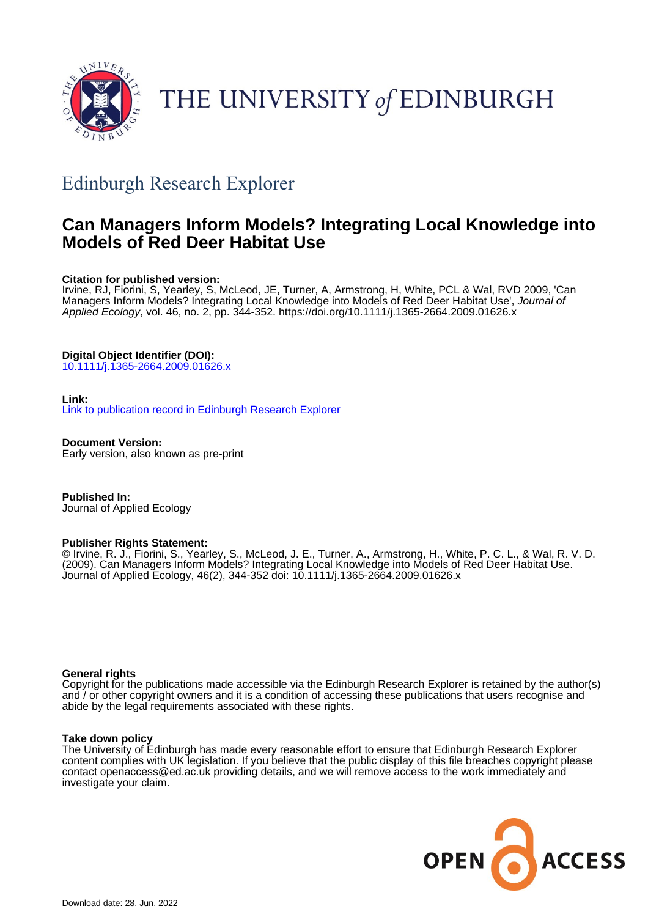

# THE UNIVERSITY of EDINBURGH

# Edinburgh Research Explorer

# **Can Managers Inform Models? Integrating Local Knowledge into Models of Red Deer Habitat Use**

#### **Citation for published version:**

Irvine, RJ, Fiorini, S, Yearley, S, McLeod, JE, Turner, A, Armstrong, H, White, PCL & Wal, RVD 2009, 'Can Managers Inform Models? Integrating Local Knowledge into Models of Red Deer Habitat Use', Journal of Applied Ecology, vol. 46, no. 2, pp. 344-352.<https://doi.org/10.1111/j.1365-2664.2009.01626.x>

### **Digital Object Identifier (DOI):**

[10.1111/j.1365-2664.2009.01626.x](https://doi.org/10.1111/j.1365-2664.2009.01626.x)

#### **Link:**

[Link to publication record in Edinburgh Research Explorer](https://www.research.ed.ac.uk/en/publications/e6d6f522-ca59-42c7-9b45-d3cc67ca65d9)

**Document Version:** Early version, also known as pre-print

**Published In:** Journal of Applied Ecology

#### **Publisher Rights Statement:**

© Irvine, R. J., Fiorini, S., Yearley, S., McLeod, J. E., Turner, A., Armstrong, H., White, P. C. L., & Wal, R. V. D. (2009). Can Managers Inform Models? Integrating Local Knowledge into Models of Red Deer Habitat Use. Journal of Applied Ecology, 46(2), 344-352 doi: 10.1111/j.1365-2664.2009.01626.x

#### **General rights**

Copyright for the publications made accessible via the Edinburgh Research Explorer is retained by the author(s) and / or other copyright owners and it is a condition of accessing these publications that users recognise and abide by the legal requirements associated with these rights.

#### **Take down policy**

The University of Edinburgh has made every reasonable effort to ensure that Edinburgh Research Explorer content complies with UK legislation. If you believe that the public display of this file breaches copyright please contact openaccess@ed.ac.uk providing details, and we will remove access to the work immediately and investigate your claim.

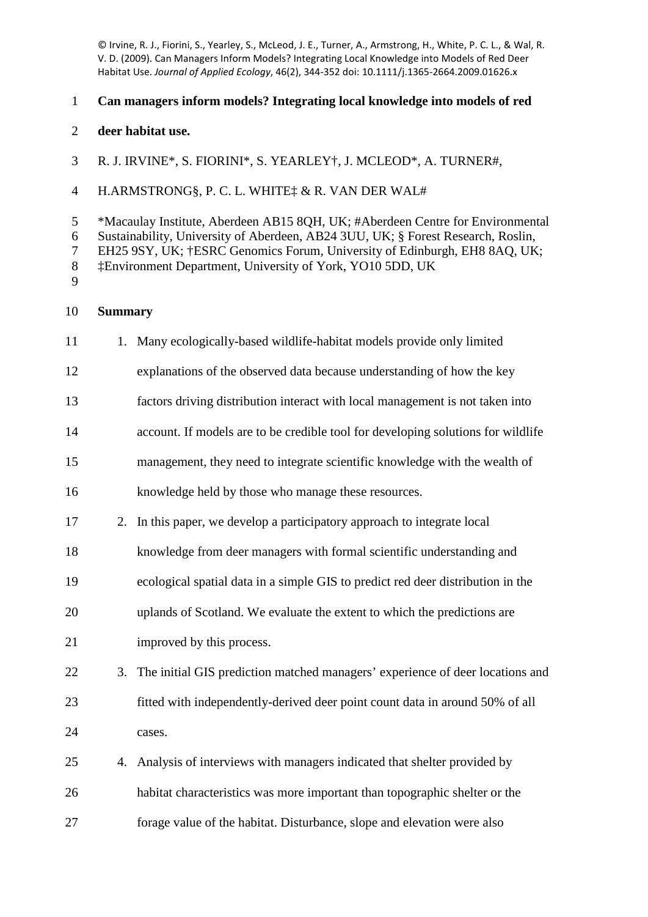© Irvine, R. J., Fiorini, S., Yearley, S., McLeod, J. E., Turner, A., Armstrong, H., White, P. C. L., & Wal, R. V. D. (2009). Can Managers Inform Models? Integrating Local Knowledge into Models of Red Deer Habitat Use. *Journal of Applied Ecology*, 46(2), 344-352 doi: 10.1111/j.1365-2664.2009.01626.x

# **Can managers inform models? Integrating local knowledge into models of red**

- **deer habitat use.**
- R. J. IRVINE\*, S. FIORINI\*, S. YEARLEY†, J. MCLEOD\*, A. TURNER#,
- H.ARMSTRONG§, P. C. L. WHITE‡ & R. VAN DER WAL#

\*Macaulay Institute, Aberdeen AB15 8QH, UK; #Aberdeen Centre for Environmental

Sustainability, University of Aberdeen, AB24 3UU, UK; § Forest Research, Roslin,

EH25 9SY, UK; †ESRC Genomics Forum, University of Edinburgh, EH8 8AQ, UK;

‡Environment Department, University of York, YO10 5DD, UK

# **Summary**

- 11 1. Many ecologically-based wildlife-habitat models provide only limited
- explanations of the observed data because understanding of how the key
- factors driving distribution interact with local management is not taken into
- account. If models are to be credible tool for developing solutions for wildlife
- management, they need to integrate scientific knowledge with the wealth of
- knowledge held by those who manage these resources.
- 2. In this paper, we develop a participatory approach to integrate local
- knowledge from deer managers with formal scientific understanding and
- ecological spatial data in a simple GIS to predict red deer distribution in the
- uplands of Scotland. We evaluate the extent to which the predictions are improved by this process.
- 
- 3. The initial GIS prediction matched managers' experience of deer locations and fitted with independently-derived deer point count data in around 50% of all cases.
- 4. Analysis of interviews with managers indicated that shelter provided by habitat characteristics was more important than topographic shelter or the forage value of the habitat. Disturbance, slope and elevation were also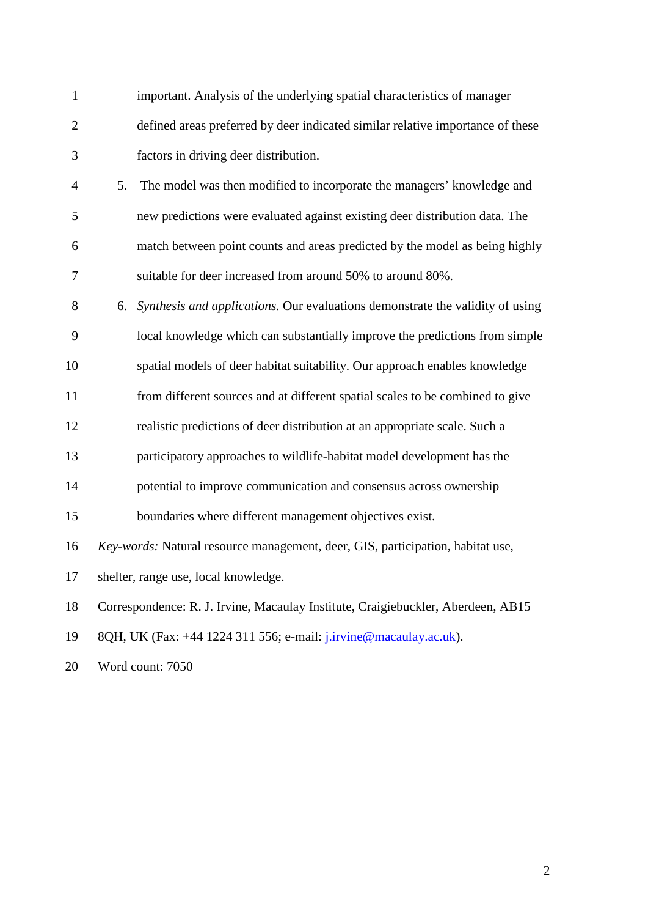| $\mathbf{1}$   |    | important. Analysis of the underlying spatial characteristics of manager         |
|----------------|----|----------------------------------------------------------------------------------|
| $\mathbf{2}$   |    | defined areas preferred by deer indicated similar relative importance of these   |
| 3              |    | factors in driving deer distribution.                                            |
| $\overline{4}$ | 5. | The model was then modified to incorporate the managers' knowledge and           |
| 5              |    | new predictions were evaluated against existing deer distribution data. The      |
| 6              |    | match between point counts and areas predicted by the model as being highly      |
| 7              |    | suitable for deer increased from around 50% to around 80%.                       |
| 8              |    | 6. Synthesis and applications. Our evaluations demonstrate the validity of using |
| 9              |    | local knowledge which can substantially improve the predictions from simple      |
| 10             |    | spatial models of deer habitat suitability. Our approach enables knowledge       |
| 11             |    | from different sources and at different spatial scales to be combined to give    |
| 12             |    | realistic predictions of deer distribution at an appropriate scale. Such a       |
| 13             |    | participatory approaches to wildlife-habitat model development has the           |
| 14             |    | potential to improve communication and consensus across ownership                |
| 15             |    | boundaries where different management objectives exist.                          |
| 16             |    | Key-words: Natural resource management, deer, GIS, participation, habitat use,   |
| 17             |    | shelter, range use, local knowledge.                                             |
| 18             |    | Correspondence: R. J. Irvine, Macaulay Institute, Craigiebuckler, Aberdeen, AB15 |
| 19             |    | 8QH, UK (Fax: +44 1224 311 556; e-mail: j.irvine@macaulay.ac.uk).                |
| 20             |    | Word count: 7050                                                                 |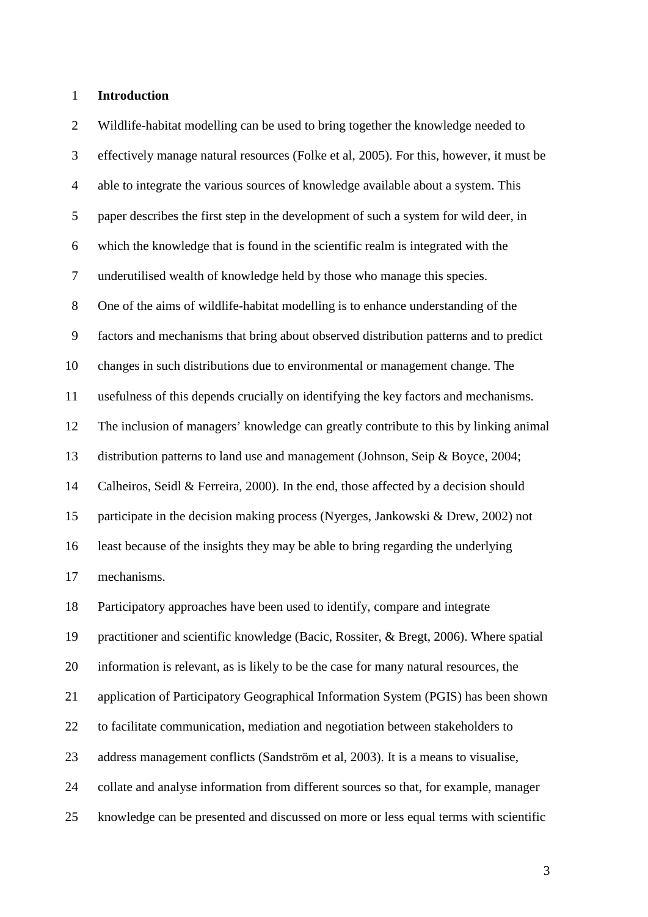#### **Introduction**

 Wildlife-habitat modelling can be used to bring together the knowledge needed to effectively manage natural resources (Folke et al, 2005). For this, however, it must be able to integrate the various sources of knowledge available about a system. This paper describes the first step in the development of such a system for wild deer, in which the knowledge that is found in the scientific realm is integrated with the underutilised wealth of knowledge held by those who manage this species. One of the aims of wildlife-habitat modelling is to enhance understanding of the factors and mechanisms that bring about observed distribution patterns and to predict changes in such distributions due to environmental or management change. The usefulness of this depends crucially on identifying the key factors and mechanisms. The inclusion of managers' knowledge can greatly contribute to this by linking animal distribution patterns to land use and management (Johnson, Seip & Boyce, 2004; Calheiros, Seidl & Ferreira, 2000). In the end, those affected by a decision should participate in the decision making process (Nyerges, Jankowski & Drew, 2002) not least because of the insights they may be able to bring regarding the underlying mechanisms. Participatory approaches have been used to identify, compare and integrate practitioner and scientific knowledge (Bacic, Rossiter, & Bregt, 2006). Where spatial information is relevant, as is likely to be the case for many natural resources, the application of Participatory Geographical Information System (PGIS) has been shown to facilitate communication, mediation and negotiation between stakeholders to address management conflicts (Sandström et al, 2003). It is a means to visualise, collate and analyse information from different sources so that, for example, manager knowledge can be presented and discussed on more or less equal terms with scientific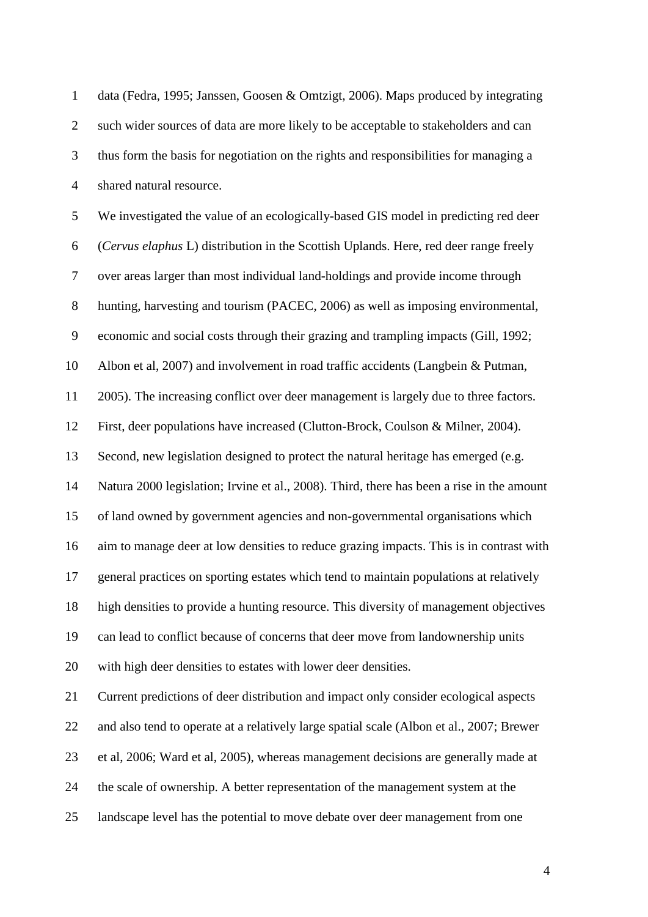| $\mathbf{1}$     | data (Fedra, 1995; Janssen, Goosen & Omtzigt, 2006). Maps produced by integrating         |
|------------------|-------------------------------------------------------------------------------------------|
| $\overline{2}$   | such wider sources of data are more likely to be acceptable to stakeholders and can       |
| 3                | thus form the basis for negotiation on the rights and responsibilities for managing a     |
| $\overline{4}$   | shared natural resource.                                                                  |
| 5                | We investigated the value of an ecologically-based GIS model in predicting red deer       |
| 6                | (Cervus elaphus L) distribution in the Scottish Uplands. Here, red deer range freely      |
| $\boldsymbol{7}$ | over areas larger than most individual land-holdings and provide income through           |
| $8\,$            | hunting, harvesting and tourism (PACEC, 2006) as well as imposing environmental,          |
| $\mathbf{9}$     | economic and social costs through their grazing and trampling impacts (Gill, 1992;        |
| 10               | Albon et al, 2007) and involvement in road traffic accidents (Langbein & Putman,          |
| 11               | 2005). The increasing conflict over deer management is largely due to three factors.      |
| 12               | First, deer populations have increased (Clutton-Brock, Coulson & Milner, 2004).           |
| 13               | Second, new legislation designed to protect the natural heritage has emerged (e.g.        |
| 14               | Natura 2000 legislation; Irvine et al., 2008). Third, there has been a rise in the amount |
| 15               | of land owned by government agencies and non-governmental organisations which             |
| 16               | aim to manage deer at low densities to reduce grazing impacts. This is in contrast with   |
| 17               | general practices on sporting estates which tend to maintain populations at relatively    |
| 18               | high densities to provide a hunting resource. This diversity of management objectives     |
| 19               | can lead to conflict because of concerns that deer move from landownership units          |
| 20               | with high deer densities to estates with lower deer densities.                            |
| 21               | Current predictions of deer distribution and impact only consider ecological aspects      |
| 22               | and also tend to operate at a relatively large spatial scale (Albon et al., 2007; Brewer  |
| 23               | et al, 2006; Ward et al, 2005), whereas management decisions are generally made at        |
| 24               | the scale of ownership. A better representation of the management system at the           |
| 25               | landscape level has the potential to move debate over deer management from one            |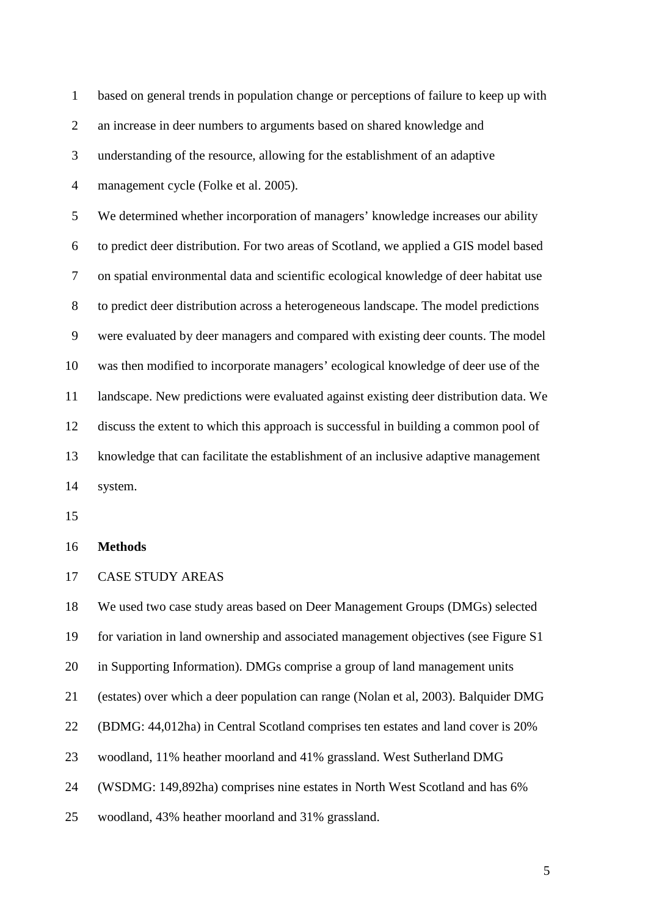| $\mathbf{1}$   | based on general trends in population change or perceptions of failure to keep up with |
|----------------|----------------------------------------------------------------------------------------|
| $\overline{2}$ | an increase in deer numbers to arguments based on shared knowledge and                 |
| 3              | understanding of the resource, allowing for the establishment of an adaptive           |
| $\overline{4}$ | management cycle (Folke et al. 2005).                                                  |
| 5              | We determined whether incorporation of managers' knowledge increases our ability       |
| 6              | to predict deer distribution. For two areas of Scotland, we applied a GIS model based  |
| 7              | on spatial environmental data and scientific ecological knowledge of deer habitat use  |
| 8              | to predict deer distribution across a heterogeneous landscape. The model predictions   |
| 9              | were evaluated by deer managers and compared with existing deer counts. The model      |
| 10             | was then modified to incorporate managers' ecological knowledge of deer use of the     |
| 11             | landscape. New predictions were evaluated against existing deer distribution data. We  |
| 12             | discuss the extent to which this approach is successful in building a common pool of   |
| 13             | knowledge that can facilitate the establishment of an inclusive adaptive management    |
| 14             | system.                                                                                |

# **Methods**

# CASE STUDY AREAS

 We used two case study areas based on Deer Management Groups (DMGs) selected for variation in land ownership and associated management objectives (see Figure S1 in Supporting Information). DMGs comprise a group of land management units (estates) over which a deer population can range (Nolan et al, 2003). Balquider DMG (BDMG: 44,012ha) in Central Scotland comprises ten estates and land cover is 20% woodland, 11% heather moorland and 41% grassland. West Sutherland DMG (WSDMG: 149,892ha) comprises nine estates in North West Scotland and has 6% woodland, 43% heather moorland and 31% grassland.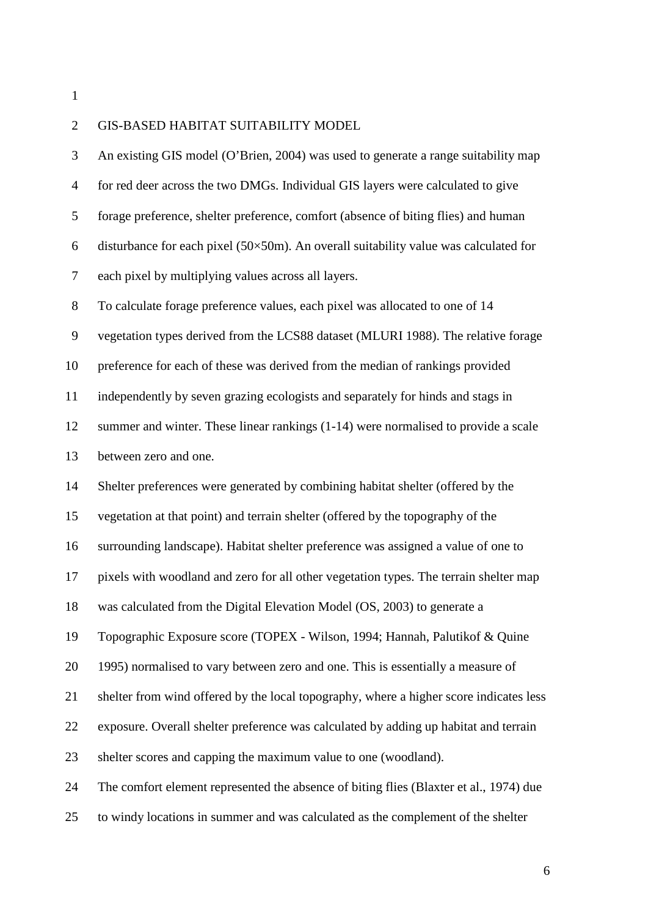| $\overline{2}$ | GIS-BASED HABITAT SUITABILITY MODEL                                                          |
|----------------|----------------------------------------------------------------------------------------------|
| 3              | An existing GIS model (O'Brien, 2004) was used to generate a range suitability map           |
| $\overline{4}$ | for red deer across the two DMGs. Individual GIS layers were calculated to give              |
| 5              | forage preference, shelter preference, comfort (absence of biting flies) and human           |
| 6              | disturbance for each pixel $(50\times50m)$ . An overall suitability value was calculated for |
| $\tau$         | each pixel by multiplying values across all layers.                                          |
| $8\,$          | To calculate forage preference values, each pixel was allocated to one of 14                 |
| 9              | vegetation types derived from the LCS88 dataset (MLURI 1988). The relative forage            |
| 10             | preference for each of these was derived from the median of rankings provided                |
| 11             | independently by seven grazing ecologists and separately for hinds and stags in              |
| 12             | summer and winter. These linear rankings (1-14) were normalised to provide a scale           |
| 13             | between zero and one.                                                                        |
| 14             | Shelter preferences were generated by combining habitat shelter (offered by the              |
| 15             | vegetation at that point) and terrain shelter (offered by the topography of the              |
| 16             | surrounding landscape). Habitat shelter preference was assigned a value of one to            |
| 17             | pixels with woodland and zero for all other vegetation types. The terrain shelter map        |
| 18             | was calculated from the Digital Elevation Model (OS, 2003) to generate a                     |
| 19             | Topographic Exposure score (TOPEX - Wilson, 1994; Hannah, Palutikof & Quine                  |
| 20             | 1995) normalised to vary between zero and one. This is essentially a measure of              |
| 21             | shelter from wind offered by the local topography, where a higher score indicates less       |
| 22             | exposure. Overall shelter preference was calculated by adding up habitat and terrain         |
| 23             | shelter scores and capping the maximum value to one (woodland).                              |
| 24             | The comfort element represented the absence of biting flies (Blaxter et al., 1974) due       |
| 25             | to windy locations in summer and was calculated as the complement of the shelter             |
|                |                                                                                              |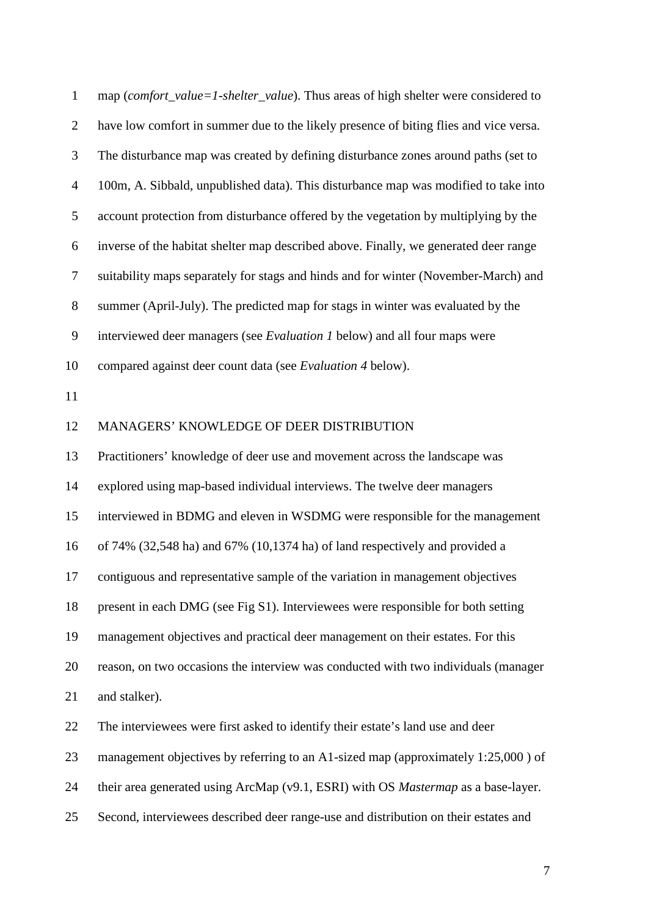| $\mathbf{1}$   | map (comfort_value=1-shelter_value). Thus areas of high shelter were considered to    |
|----------------|---------------------------------------------------------------------------------------|
| $\overline{2}$ | have low comfort in summer due to the likely presence of biting flies and vice versa. |
| 3              | The disturbance map was created by defining disturbance zones around paths (set to    |
| $\overline{4}$ | 100m, A. Sibbald, unpublished data). This disturbance map was modified to take into   |
| 5              | account protection from disturbance offered by the vegetation by multiplying by the   |
| 6              | inverse of the habitat shelter map described above. Finally, we generated deer range  |
| $\tau$         | suitability maps separately for stags and hinds and for winter (November-March) and   |
| $8\,$          | summer (April-July). The predicted map for stags in winter was evaluated by the       |
| 9              | interviewed deer managers (see <i>Evaluation 1</i> below) and all four maps were      |
| 10             | compared against deer count data (see Evaluation 4 below).                            |
| 11             |                                                                                       |
| 12             | MANAGERS' KNOWLEDGE OF DEER DISTRIBUTION                                              |
| 13             | Practitioners' knowledge of deer use and movement across the landscape was            |
| 14             | explored using map-based individual interviews. The twelve deer managers              |
| 15             | interviewed in BDMG and eleven in WSDMG were responsible for the management           |
| 16             | of 74% (32,548 ha) and 67% (10,1374 ha) of land respectively and provided a           |
| 17             | contiguous and representative sample of the variation in management objectives        |
| 18             | present in each DMG (see Fig S1). Interviewees were responsible for both setting      |
| 19             | management objectives and practical deer management on their estates. For this        |
| 20             | reason, on two occasions the interview was conducted with two individuals (manager    |
| 21             | and stalker).                                                                         |
| 22             | The interviewees were first asked to identify their estate's land use and deer        |
| 23             | management objectives by referring to an A1-sized map (approximately 1:25,000) of     |
| 24             | their area generated using ArcMap (v9.1, ESRI) with OS Mastermap as a base-layer.     |
| 25             | Second, interviewees described deer range-use and distribution on their estates and   |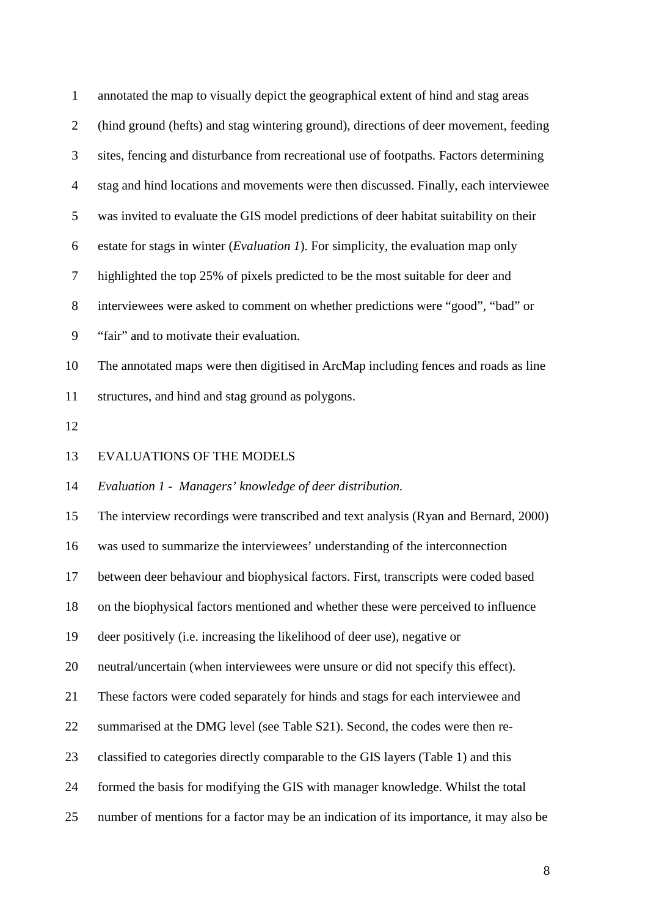| $\mathbf{1}$   | annotated the map to visually depict the geographical extent of hind and stag areas         |
|----------------|---------------------------------------------------------------------------------------------|
| $\overline{2}$ | (hind ground (hefts) and stag wintering ground), directions of deer movement, feeding       |
| 3              | sites, fencing and disturbance from recreational use of footpaths. Factors determining      |
| $\overline{4}$ | stag and hind locations and movements were then discussed. Finally, each interviewee        |
| 5              | was invited to evaluate the GIS model predictions of deer habitat suitability on their      |
| 6              | estate for stags in winter ( <i>Evaluation 1</i> ). For simplicity, the evaluation map only |
| $\tau$         | highlighted the top 25% of pixels predicted to be the most suitable for deer and            |
| $8\,$          | interviewees were asked to comment on whether predictions were "good", "bad" or             |
| $\mathbf{9}$   | "fair" and to motivate their evaluation.                                                    |
| 10             | The annotated maps were then digitised in ArcMap including fences and roads as line         |
| 11             | structures, and hind and stag ground as polygons.                                           |
| 12             |                                                                                             |
| 13             | <b>EVALUATIONS OF THE MODELS</b>                                                            |
| 14             | Evaluation 1 - Managers' knowledge of deer distribution.                                    |
| 15             | The interview recordings were transcribed and text analysis (Ryan and Bernard, 2000)        |
| 16             | was used to summarize the interviewees' understanding of the interconnection                |
| 17             | between deer behaviour and biophysical factors. First, transcripts were coded based         |
| 18             | on the biophysical factors mentioned and whether these were perceived to influence          |
| 19             | deer positively (i.e. increasing the likelihood of deer use), negative or                   |
| 20             | neutral/uncertain (when interviewees were unsure or did not specify this effect).           |
| 21             | These factors were coded separately for hinds and stags for each interviewee and            |
| 22             | summarised at the DMG level (see Table S21). Second, the codes were then re-                |
| 23             | classified to categories directly comparable to the GIS layers (Table 1) and this           |
| 24             | formed the basis for modifying the GIS with manager knowledge. Whilst the total             |
| 25             | number of mentions for a factor may be an indication of its importance, it may also be      |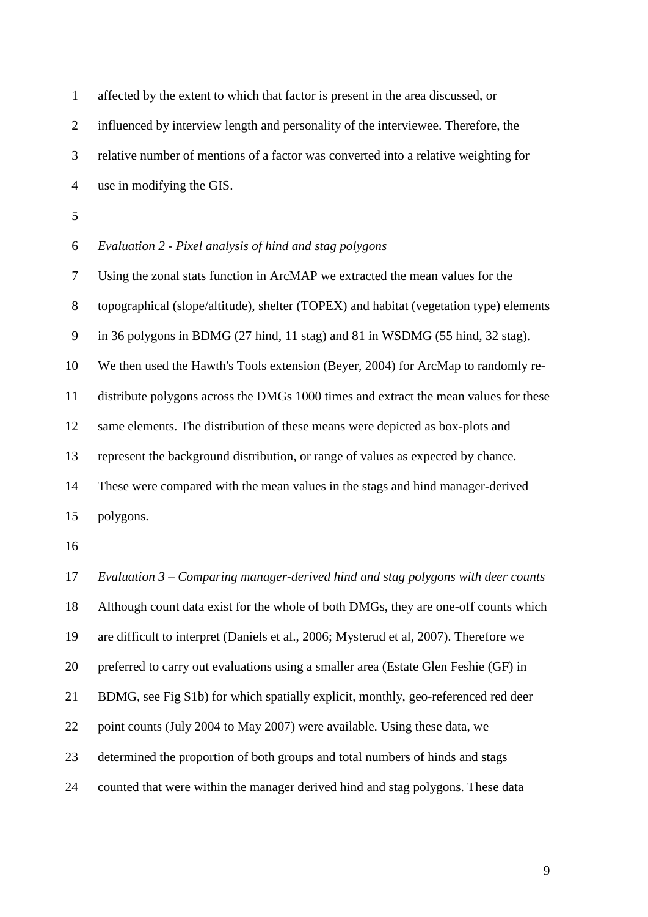| $\mathbf{1}$     | affected by the extent to which that factor is present in the area discussed, or       |
|------------------|----------------------------------------------------------------------------------------|
| $\overline{2}$   | influenced by interview length and personality of the interviewee. Therefore, the      |
| 3                | relative number of mentions of a factor was converted into a relative weighting for    |
| $\overline{4}$   | use in modifying the GIS.                                                              |
| 5                |                                                                                        |
| 6                | Evaluation 2 - Pixel analysis of hind and stag polygons                                |
| 7                | Using the zonal stats function in ArcMAP we extracted the mean values for the          |
| 8                | topographical (slope/altitude), shelter (TOPEX) and habitat (vegetation type) elements |
| $\boldsymbol{9}$ | in 36 polygons in BDMG (27 hind, 11 stag) and 81 in WSDMG (55 hind, 32 stag).          |
| 10               | We then used the Hawth's Tools extension (Beyer, 2004) for ArcMap to randomly re-      |
| 11               | distribute polygons across the DMGs 1000 times and extract the mean values for these   |
| 12               | same elements. The distribution of these means were depicted as box-plots and          |
| 13               | represent the background distribution, or range of values as expected by chance.       |
| 14               | These were compared with the mean values in the stags and hind manager-derived         |
| 15               | polygons.                                                                              |
| 16               |                                                                                        |
| 17               | Evaluation $3$ – Comparing manager-derived hind and stag polygons with deer counts     |
| 18               | Although count data exist for the whole of both DMGs, they are one-off counts which    |
| 19               | are difficult to interpret (Daniels et al., 2006; Mysterud et al, 2007). Therefore we  |
| 20               | preferred to carry out evaluations using a smaller area (Estate Glen Feshie (GF) in    |
| 21               | BDMG, see Fig S1b) for which spatially explicit, monthly, geo-referenced red deer      |
| 22               | point counts (July 2004 to May 2007) were available. Using these data, we              |
| 23               | determined the proportion of both groups and total numbers of hinds and stags          |
| 24               | counted that were within the manager derived hind and stag polygons. These data        |
|                  |                                                                                        |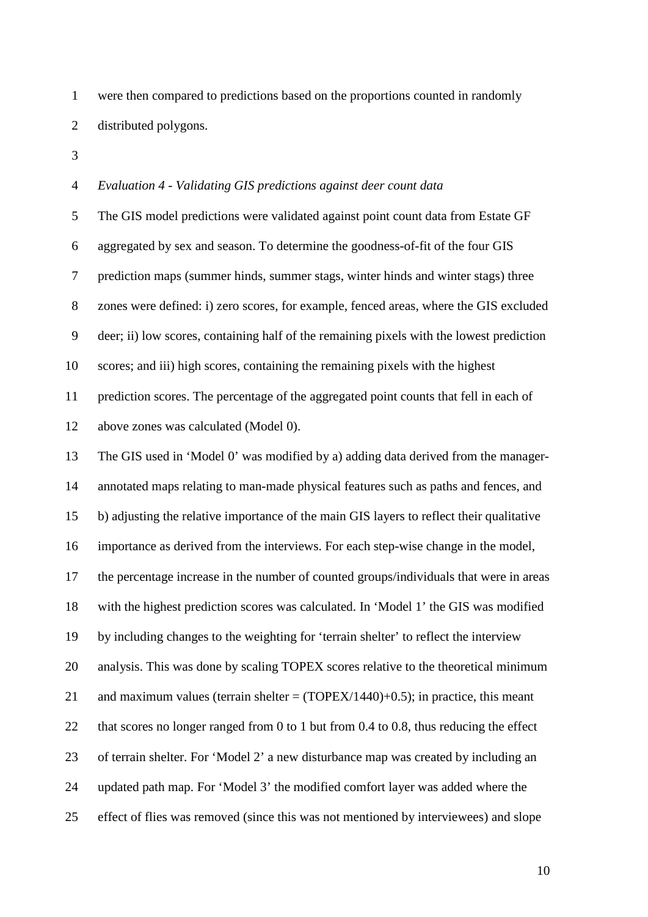were then compared to predictions based on the proportions counted in randomly distributed polygons.

### *Evaluation 4 - Validating GIS predictions against deer count data*

 The GIS model predictions were validated against point count data from Estate GF aggregated by sex and season. To determine the goodness-of-fit of the four GIS prediction maps (summer hinds, summer stags, winter hinds and winter stags) three zones were defined: i) zero scores, for example, fenced areas, where the GIS excluded deer; ii) low scores, containing half of the remaining pixels with the lowest prediction scores; and iii) high scores, containing the remaining pixels with the highest prediction scores. The percentage of the aggregated point counts that fell in each of above zones was calculated (Model 0).

 The GIS used in 'Model 0' was modified by a) adding data derived from the manager- annotated maps relating to man-made physical features such as paths and fences, and b) adjusting the relative importance of the main GIS layers to reflect their qualitative importance as derived from the interviews. For each step-wise change in the model, the percentage increase in the number of counted groups/individuals that were in areas with the highest prediction scores was calculated. In 'Model 1' the GIS was modified by including changes to the weighting for 'terrain shelter' to reflect the interview analysis. This was done by scaling TOPEX scores relative to the theoretical minimum 21 and maximum values (terrain shelter  $=$  (TOPEX/1440)+0.5); in practice, this meant 22 that scores no longer ranged from 0 to 1 but from 0.4 to 0.8, thus reducing the effect of terrain shelter. For 'Model 2' a new disturbance map was created by including an updated path map. For 'Model 3' the modified comfort layer was added where the effect of flies was removed (since this was not mentioned by interviewees) and slope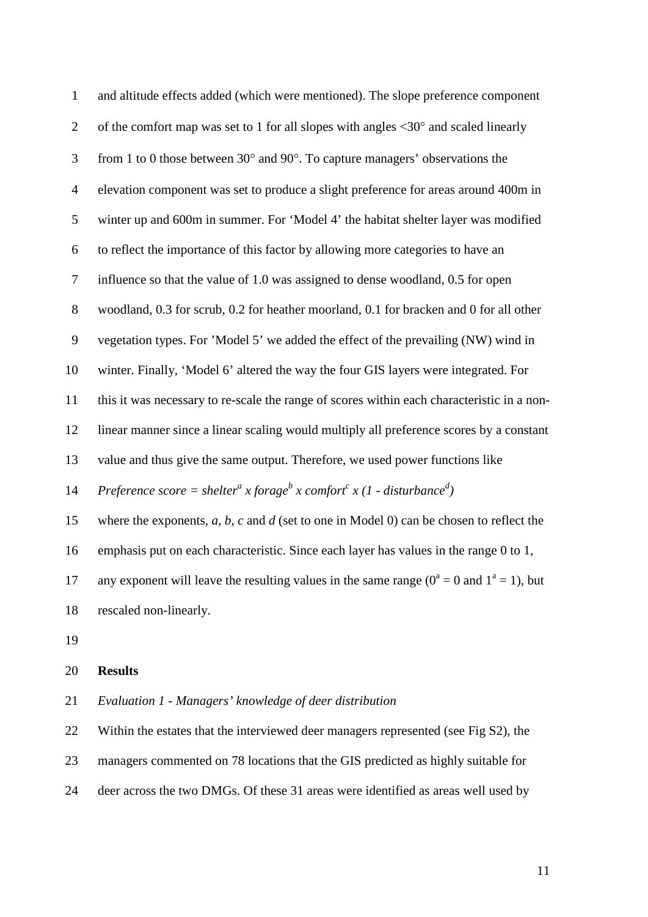| $\mathbf 1$    | and altitude effects added (which were mentioned). The slope preference component                                      |
|----------------|------------------------------------------------------------------------------------------------------------------------|
| $\overline{2}$ | of the comfort map was set to 1 for all slopes with angles $\langle 30^\circ$ and scaled linearly                      |
| 3              | from 1 to 0 those between $30^{\circ}$ and $90^{\circ}$ . To capture managers' observations the                        |
| $\overline{4}$ | elevation component was set to produce a slight preference for areas around 400m in                                    |
| 5              | winter up and 600m in summer. For 'Model 4' the habitat shelter layer was modified                                     |
| 6              | to reflect the importance of this factor by allowing more categories to have an                                        |
| $\tau$         | influence so that the value of 1.0 was assigned to dense woodland, 0.5 for open                                        |
| $8\,$          | woodland, 0.3 for scrub, 0.2 for heather moorland, 0.1 for bracken and 0 for all other                                 |
| 9              | vegetation types. For 'Model 5' we added the effect of the prevailing (NW) wind in                                     |
| 10             | winter. Finally, 'Model 6' altered the way the four GIS layers were integrated. For                                    |
| 11             | this it was necessary to re-scale the range of scores within each characteristic in a non-                             |
| 12             | linear manner since a linear scaling would multiply all preference scores by a constant                                |
| 13             | value and thus give the same output. Therefore, we used power functions like                                           |
| 14             | Preference score = shelter <sup>a</sup> x forage <sup>b</sup> x comfort <sup>c</sup> x (1 - disturbance <sup>d</sup> ) |
| 15             | where the exponents, $a, b, c$ and $d$ (set to one in Model 0) can be chosen to reflect the                            |
| 16             | emphasis put on each characteristic. Since each layer has values in the range 0 to 1,                                  |
| 17             | any exponent will leave the resulting values in the same range ( $0^a = 0$ and $1^a = 1$ ), but                        |
| 18             | rescaled non-linearly.                                                                                                 |
|                |                                                                                                                        |

# **Results**

*Evaluation 1 - Managers' knowledge of deer distribution*

Within the estates that the interviewed deer managers represented (see Fig S2), the

managers commented on 78 locations that the GIS predicted as highly suitable for

deer across the two DMGs. Of these 31 areas were identified as areas well used by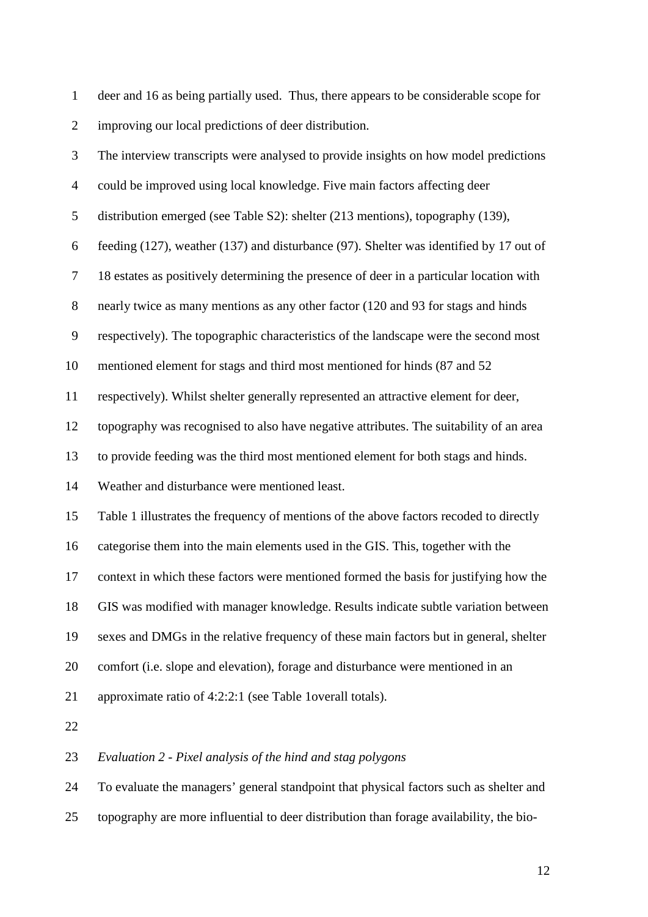| $\mathbf{1}$   | deer and 16 as being partially used. Thus, there appears to be considerable scope for   |
|----------------|-----------------------------------------------------------------------------------------|
| $\overline{2}$ | improving our local predictions of deer distribution.                                   |
| 3              | The interview transcripts were analysed to provide insights on how model predictions    |
| $\overline{4}$ | could be improved using local knowledge. Five main factors affecting deer               |
| 5              | distribution emerged (see Table S2): shelter (213 mentions), topography (139),          |
| 6              | feeding (127), weather (137) and disturbance (97). Shelter was identified by 17 out of  |
| 7              | 18 estates as positively determining the presence of deer in a particular location with |
| $8\,$          | nearly twice as many mentions as any other factor (120 and 93 for stags and hinds       |
| 9              | respectively). The topographic characteristics of the landscape were the second most    |
| 10             | mentioned element for stags and third most mentioned for hinds (87 and 52)              |
| 11             | respectively). Whilst shelter generally represented an attractive element for deer,     |
| 12             | topography was recognised to also have negative attributes. The suitability of an area  |
| 13             | to provide feeding was the third most mentioned element for both stags and hinds.       |
| 14             | Weather and disturbance were mentioned least.                                           |
| 15             | Table 1 illustrates the frequency of mentions of the above factors recoded to directly  |
| 16             | categorise them into the main elements used in the GIS. This, together with the         |
| 17             | context in which these factors were mentioned formed the basis for justifying how the   |
| 18             | GIS was modified with manager knowledge. Results indicate subtle variation between      |
| 19             | sexes and DMGs in the relative frequency of these main factors but in general, shelter  |
| 20             | comfort (i.e. slope and elevation), forage and disturbance were mentioned in an         |
| 21             | approximate ratio of 4:2:2:1 (see Table 1overall totals).                               |
| 22             |                                                                                         |
| 23             | Evaluation 2 - Pixel analysis of the hind and stag polygons                             |

 To evaluate the managers' general standpoint that physical factors such as shelter and topography are more influential to deer distribution than forage availability, the bio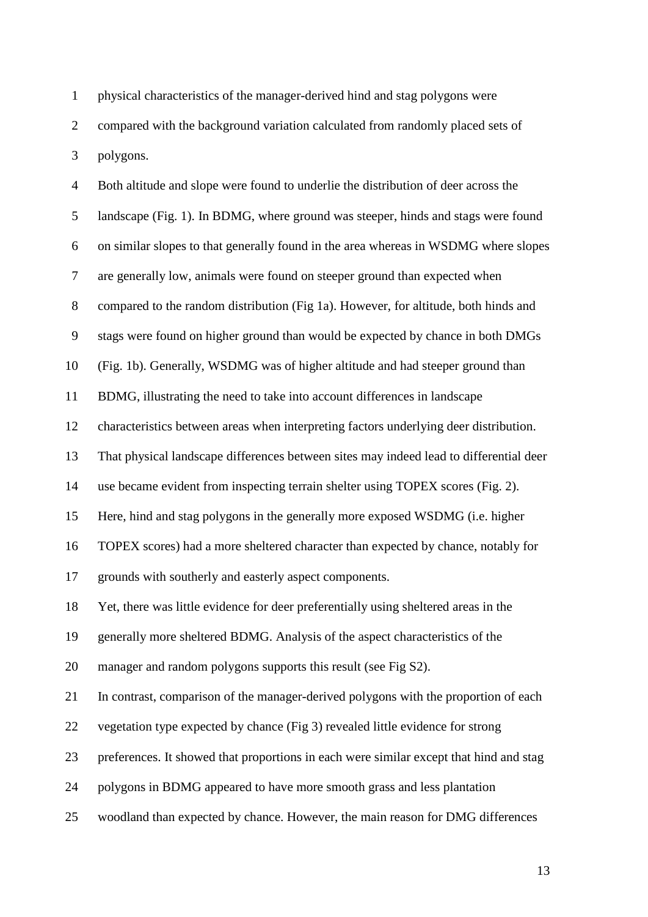physical characteristics of the manager-derived hind and stag polygons were compared with the background variation calculated from randomly placed sets of polygons.

| $\overline{4}$ | Both altitude and slope were found to underlie the distribution of deer across the     |
|----------------|----------------------------------------------------------------------------------------|
| 5              | landscape (Fig. 1). In BDMG, where ground was steeper, hinds and stags were found      |
| 6              | on similar slopes to that generally found in the area whereas in WSDMG where slopes    |
| $\tau$         | are generally low, animals were found on steeper ground than expected when             |
| $8\,$          | compared to the random distribution (Fig 1a). However, for altitude, both hinds and    |
| $\mathbf{9}$   | stags were found on higher ground than would be expected by chance in both DMGs        |
| 10             | (Fig. 1b). Generally, WSDMG was of higher altitude and had steeper ground than         |
| 11             | BDMG, illustrating the need to take into account differences in landscape              |
| 12             | characteristics between areas when interpreting factors underlying deer distribution.  |
| 13             | That physical landscape differences between sites may indeed lead to differential deer |
| 14             | use became evident from inspecting terrain shelter using TOPEX scores (Fig. 2).        |
| 15             | Here, hind and stag polygons in the generally more exposed WSDMG (i.e. higher          |
| 16             | TOPEX scores) had a more sheltered character than expected by chance, notably for      |
| 17             | grounds with southerly and easterly aspect components.                                 |
| 18             | Yet, there was little evidence for deer preferentially using sheltered areas in the    |
| 19             | generally more sheltered BDMG. Analysis of the aspect characteristics of the           |
| 20             | manager and random polygons supports this result (see Fig S2).                         |
| 21             | In contrast, comparison of the manager-derived polygons with the proportion of each    |
| 22             | vegetation type expected by chance (Fig 3) revealed little evidence for strong         |
| 23             | preferences. It showed that proportions in each were similar except that hind and stag |
| 24             | polygons in BDMG appeared to have more smooth grass and less plantation                |
| 25             | woodland than expected by chance. However, the main reason for DMG differences         |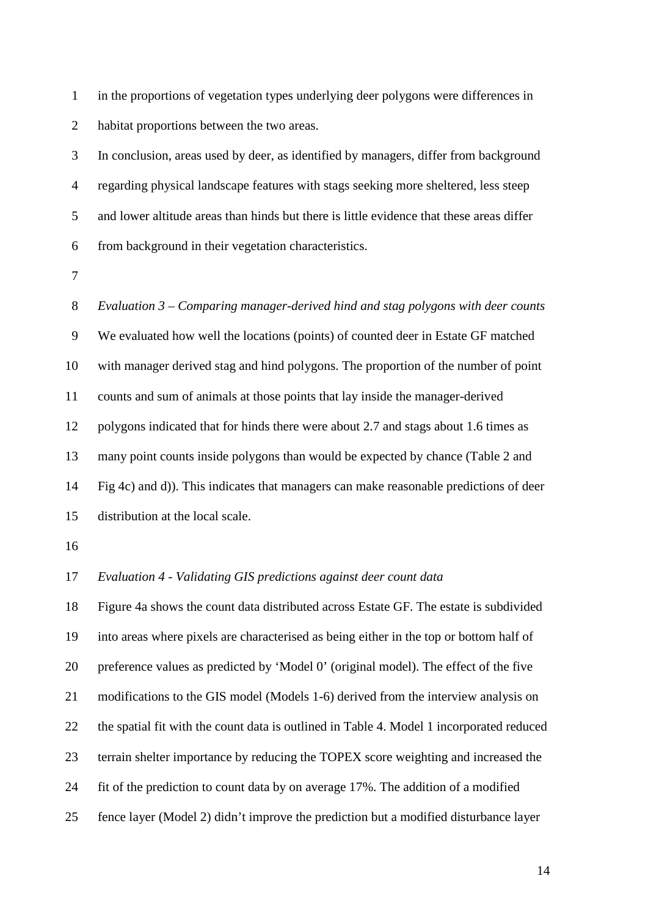in the proportions of vegetation types underlying deer polygons were differences in habitat proportions between the two areas.

 In conclusion, areas used by deer, as identified by managers, differ from background regarding physical landscape features with stags seeking more sheltered, less steep and lower altitude areas than hinds but there is little evidence that these areas differ from background in their vegetation characteristics.

 *Evaluation 3 – Comparing manager-derived hind and stag polygons with deer counts*  We evaluated how well the locations (points) of counted deer in Estate GF matched with manager derived stag and hind polygons. The proportion of the number of point counts and sum of animals at those points that lay inside the manager-derived polygons indicated that for hinds there were about 2.7 and stags about 1.6 times as many point counts inside polygons than would be expected by chance (Table 2 and Fig 4c) and d)). This indicates that managers can make reasonable predictions of deer distribution at the local scale.

#### *Evaluation 4 - Validating GIS predictions against deer count data*

 Figure 4a shows the count data distributed across Estate GF. The estate is subdivided into areas where pixels are characterised as being either in the top or bottom half of preference values as predicted by 'Model 0' (original model). The effect of the five modifications to the GIS model (Models 1-6) derived from the interview analysis on the spatial fit with the count data is outlined in Table 4. Model 1 incorporated reduced terrain shelter importance by reducing the TOPEX score weighting and increased the fit of the prediction to count data by on average 17%. The addition of a modified fence layer (Model 2) didn't improve the prediction but a modified disturbance layer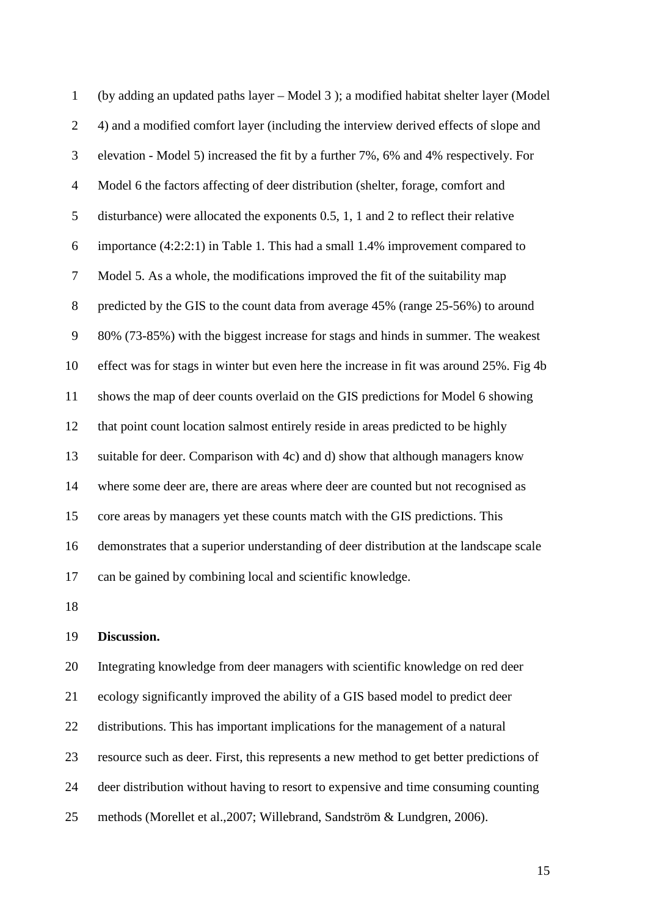| $\mathbf{1}$   | (by adding an updated paths layer – Model 3); a modified habitat shelter layer (Model         |
|----------------|-----------------------------------------------------------------------------------------------|
| $\overline{2}$ | 4) and a modified comfort layer (including the interview derived effects of slope and         |
| 3              | elevation - Model 5) increased the fit by a further 7%, 6% and 4% respectively. For           |
| $\overline{4}$ | Model 6 the factors affecting of deer distribution (shelter, forage, comfort and              |
| 5              | disturbance) were allocated the exponents $0.5$ , $1$ , $1$ and $2$ to reflect their relative |
| 6              | importance (4:2:2:1) in Table 1. This had a small 1.4% improvement compared to                |
| $\tau$         | Model 5. As a whole, the modifications improved the fit of the suitability map                |
| 8              | predicted by the GIS to the count data from average 45% (range 25-56%) to around              |
| 9              | 80% (73-85%) with the biggest increase for stags and hinds in summer. The weakest             |
| 10             | effect was for stags in winter but even here the increase in fit was around 25%. Fig 4b       |
| 11             | shows the map of deer counts overlaid on the GIS predictions for Model 6 showing              |
| 12             | that point count location salmost entirely reside in areas predicted to be highly             |
| 13             | suitable for deer. Comparison with 4c) and d) show that although managers know                |
| 14             | where some deer are, there are areas where deer are counted but not recognised as             |
| 15             | core areas by managers yet these counts match with the GIS predictions. This                  |
| 16             | demonstrates that a superior understanding of deer distribution at the landscape scale        |
| 17             | can be gained by combining local and scientific knowledge.                                    |
|                |                                                                                               |

# **Discussion.**

 Integrating knowledge from deer managers with scientific knowledge on red deer ecology significantly improved the ability of a GIS based model to predict deer distributions. This has important implications for the management of a natural resource such as deer. First, this represents a new method to get better predictions of deer distribution without having to resort to expensive and time consuming counting methods (Morellet et al.,2007; Willebrand, Sandström & Lundgren, 2006).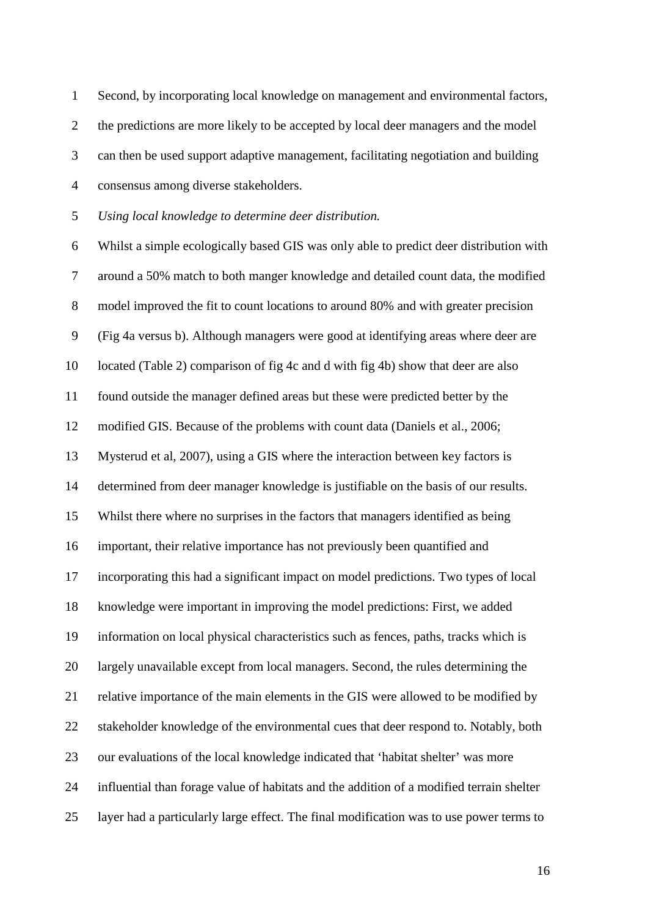Second, by incorporating local knowledge on management and environmental factors, the predictions are more likely to be accepted by local deer managers and the model can then be used support adaptive management, facilitating negotiation and building consensus among diverse stakeholders.

*Using local knowledge to determine deer distribution.*

 Whilst a simple ecologically based GIS was only able to predict deer distribution with around a 50% match to both manger knowledge and detailed count data, the modified model improved the fit to count locations to around 80% and with greater precision (Fig 4a versus b). Although managers were good at identifying areas where deer are located (Table 2) comparison of fig 4c and d with fig 4b) show that deer are also found outside the manager defined areas but these were predicted better by the modified GIS. Because of the problems with count data (Daniels et al., 2006; Mysterud et al, 2007), using a GIS where the interaction between key factors is determined from deer manager knowledge is justifiable on the basis of our results. Whilst there where no surprises in the factors that managers identified as being important, their relative importance has not previously been quantified and incorporating this had a significant impact on model predictions. Two types of local knowledge were important in improving the model predictions: First, we added information on local physical characteristics such as fences, paths, tracks which is largely unavailable except from local managers. Second, the rules determining the relative importance of the main elements in the GIS were allowed to be modified by stakeholder knowledge of the environmental cues that deer respond to. Notably, both our evaluations of the local knowledge indicated that 'habitat shelter' was more influential than forage value of habitats and the addition of a modified terrain shelter layer had a particularly large effect. The final modification was to use power terms to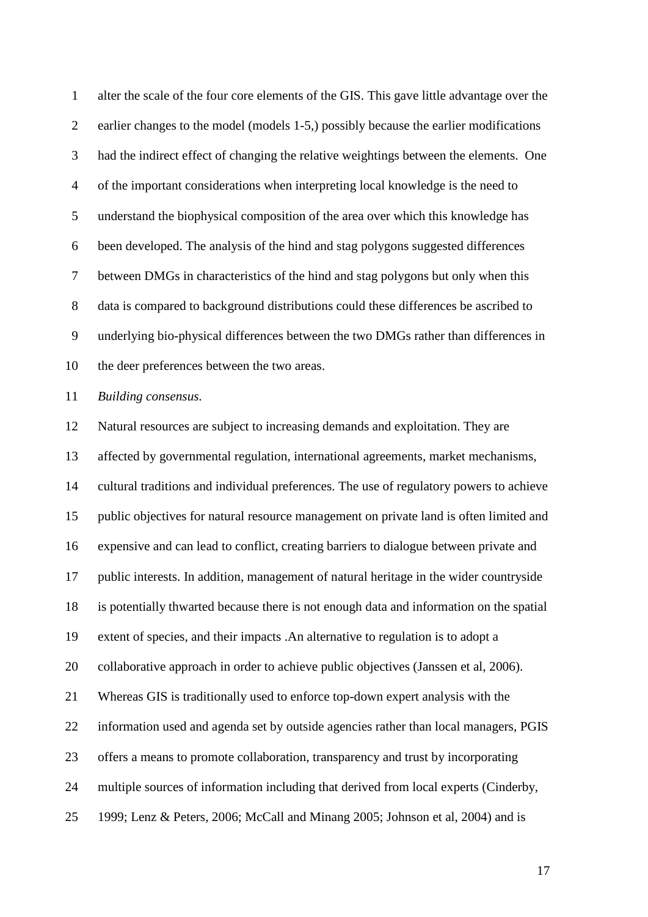alter the scale of the four core elements of the GIS. This gave little advantage over the earlier changes to the model (models 1-5,) possibly because the earlier modifications had the indirect effect of changing the relative weightings between the elements. One of the important considerations when interpreting local knowledge is the need to understand the biophysical composition of the area over which this knowledge has been developed. The analysis of the hind and stag polygons suggested differences between DMGs in characteristics of the hind and stag polygons but only when this data is compared to background distributions could these differences be ascribed to underlying bio-physical differences between the two DMGs rather than differences in the deer preferences between the two areas.

*Building consensus.*

 Natural resources are subject to increasing demands and exploitation. They are affected by governmental regulation, international agreements, market mechanisms, cultural traditions and individual preferences. The use of regulatory powers to achieve public objectives for natural resource management on private land is often limited and expensive and can lead to conflict, creating barriers to dialogue between private and public interests. In addition, management of natural heritage in the wider countryside is potentially thwarted because there is not enough data and information on the spatial extent of species, and their impacts .An alternative to regulation is to adopt a collaborative approach in order to achieve public objectives (Janssen et al, 2006). Whereas GIS is traditionally used to enforce top-down expert analysis with the information used and agenda set by outside agencies rather than local managers, PGIS offers a means to promote collaboration, transparency and trust by incorporating multiple sources of information including that derived from local experts (Cinderby, 1999; Lenz & Peters, 2006; McCall and Minang 2005; Johnson et al, 2004) and is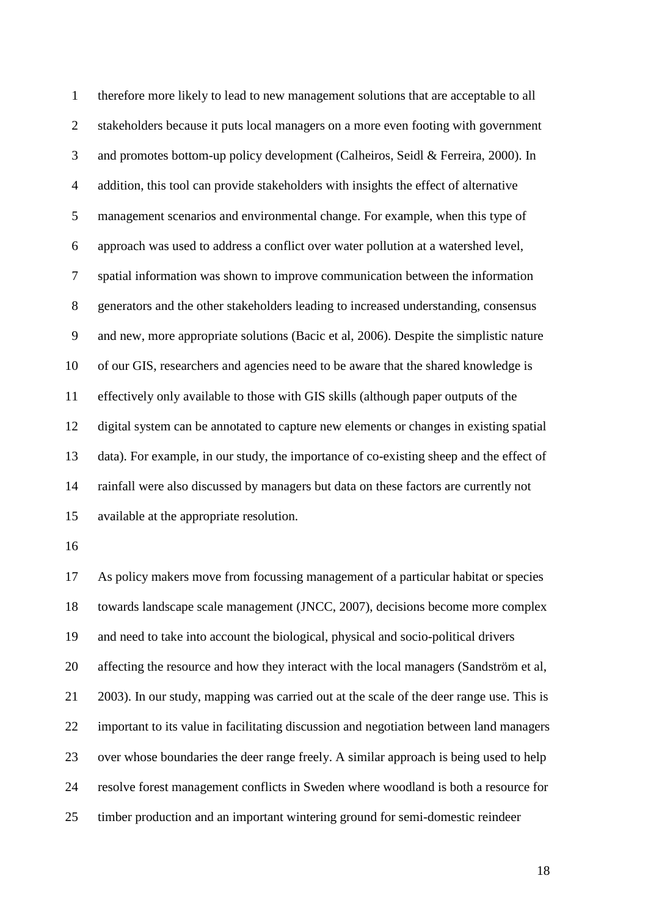therefore more likely to lead to new management solutions that are acceptable to all stakeholders because it puts local managers on a more even footing with government and promotes bottom-up policy development (Calheiros, Seidl & Ferreira, 2000). In addition, this tool can provide stakeholders with insights the effect of alternative management scenarios and environmental change. For example, when this type of approach was used to address a conflict over water pollution at a watershed level, spatial information was shown to improve communication between the information generators and the other stakeholders leading to increased understanding, consensus and new, more appropriate solutions (Bacic et al, 2006). Despite the simplistic nature of our GIS, researchers and agencies need to be aware that the shared knowledge is effectively only available to those with GIS skills (although paper outputs of the digital system can be annotated to capture new elements or changes in existing spatial data). For example, in our study, the importance of co-existing sheep and the effect of rainfall were also discussed by managers but data on these factors are currently not available at the appropriate resolution.

 As policy makers move from focussing management of a particular habitat or species towards landscape scale management (JNCC, 2007), decisions become more complex and need to take into account the biological, physical and socio-political drivers affecting the resource and how they interact with the local managers (Sandström et al, 2003). In our study, mapping was carried out at the scale of the deer range use. This is important to its value in facilitating discussion and negotiation between land managers over whose boundaries the deer range freely. A similar approach is being used to help resolve forest management conflicts in Sweden where woodland is both a resource for timber production and an important wintering ground for semi-domestic reindeer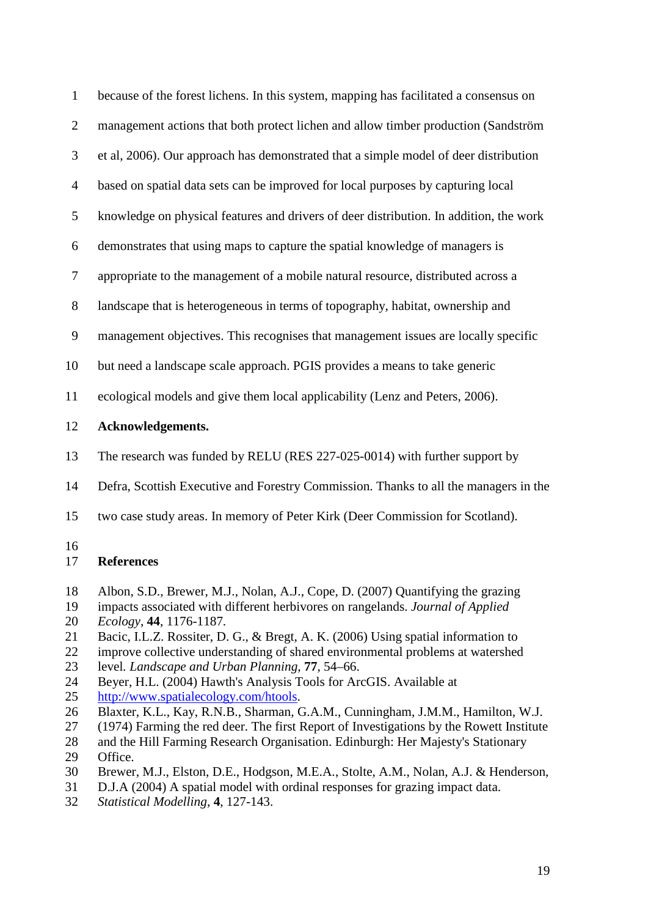| $\mathbf{1}$   | because of the forest lichens. In this system, mapping has facilitated a consensus on                                 |
|----------------|-----------------------------------------------------------------------------------------------------------------------|
| $\overline{2}$ | management actions that both protect lichen and allow timber production (Sandström                                    |
| 3              | et al, 2006). Our approach has demonstrated that a simple model of deer distribution                                  |
| $\overline{4}$ | based on spatial data sets can be improved for local purposes by capturing local                                      |
| 5              | knowledge on physical features and drivers of deer distribution. In addition, the work                                |
| 6              | demonstrates that using maps to capture the spatial knowledge of managers is                                          |
| $\tau$         | appropriate to the management of a mobile natural resource, distributed across a                                      |
| 8              | landscape that is heterogeneous in terms of topography, habitat, ownership and                                        |
| 9              | management objectives. This recognises that management issues are locally specific                                    |
| 10             | but need a landscape scale approach. PGIS provides a means to take generic                                            |
| 11             | ecological models and give them local applicability (Lenz and Peters, 2006).                                          |
| 12             | <b>Acknowledgements.</b>                                                                                              |
| 13             | The research was funded by RELU (RES 227-025-0014) with further support by                                            |
| 14             | Defra, Scottish Executive and Forestry Commission. Thanks to all the managers in the                                  |
| 15             | two case study areas. In memory of Peter Kirk (Deer Commission for Scotland).                                         |
| 16<br>17       | <b>References</b>                                                                                                     |
| 18             | Albon, S.D., Brewer, M.J., Nolan, A.J., Cope, D. (2007) Quantifying the grazing<br>$\sim$ $\sim$ $\sim$ $\sim$ $\sim$ |

- impacts associated with different herbivores on rangelands. *Journal of Applied*
- *Ecology*, **44**, 1176-1187*.*
- Bacic, I.L.Z. Rossiter, D. G., & Bregt, A. K. (2006) Using spatial information to
- improve collective understanding of shared environmental problems at watershed
- level*. Landscape and Urban Planning*, **77**, 54–66.
- Beyer, H.L. (2004) Hawth's Analysis Tools for ArcGIS. Available at
- [http://www.spatialecology.com/htools.](http://www.spatialecology.com/htools)
- Blaxter, K.L., Kay, R.N.B., Sharman, G.A.M., Cunningham, J.M.M., Hamilton, W.J.
- (1974) Farming the red deer. The first Report of Investigations by the Rowett Institute
- 28 and the Hill Farming Research Organisation. Edinburgh: Her Majesty's Stationary<br>29 Office. Office.
- Brewer, M.J., Elston, D.E., Hodgson, M.E.A., Stolte, A.M., Nolan, A.J. & Henderson,
- D.J.A (2004) A spatial model with ordinal responses for grazing impact data.
- *Statistical Modelling*, **4**, 127-143.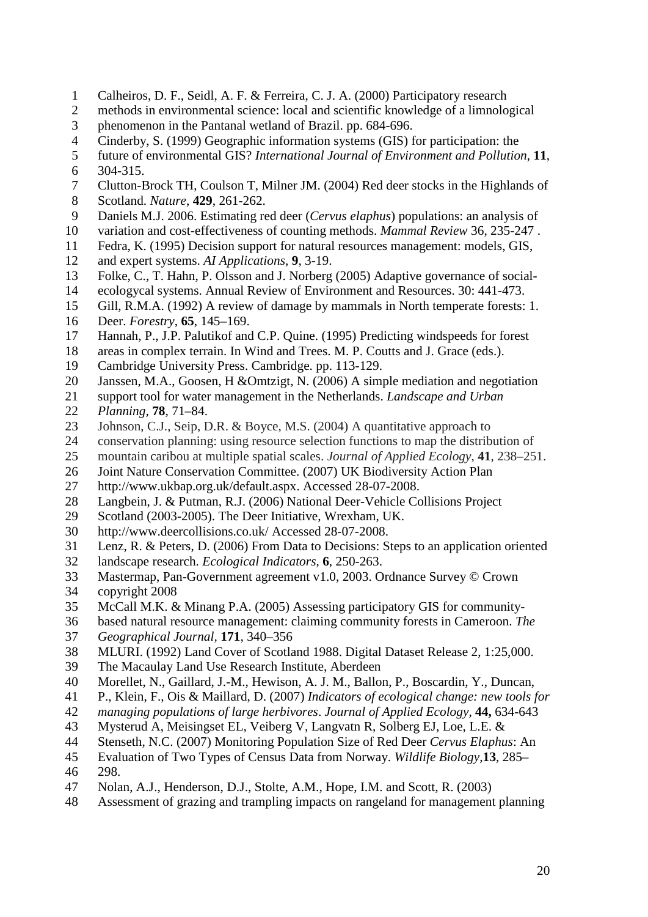- Calheiros, D. F., Seidl, A. F. & Ferreira, C. J. A. (2000) Participatory research
- methods in environmental science: local and scientific knowledge of a limnological phenomenon in the Pantanal wetland of Brazil. pp. 684-696.
- Cinderby, S. (1999) Geographic information systems (GIS) for participation: the
- future of environmental GIS? *[International Journal of Environment and Pollution](http://www.inderscience.com/browse/index.php?journalID=9&year=1999&vol=11&issue=3)*, **11**,
- [304-315.](http://www.inderscience.com/browse/index.php?journalID=9&year=1999&vol=11&issue=3)
- Clutton-Brock TH, Coulson T, Milner JM. (2004) Red deer stocks in the Highlands of
- Scotland. *Nature*, **429**, 261-262.
- Daniels M.J. 2006. Estimating red deer (*Cervus elaphus*) populations: an analysis of
- variation and cost-effectiveness of counting methods. *Mammal Review* 36, 235-247 .
- Fedra, K. (1995) Decision support for natural resources management: models, GIS,
- and expert systems. *AI Applications*, **9**, 3-19.
- Folke, C., T. Hahn, P. Olsson and J. Norberg (2005) Adaptive governance of social-
- ecologycal systems. Annual Review of Environment and Resources. 30: 441-473.
- Gill, R.M.A. (1992) A review of damage by mammals in North temperate forests: 1.
- Deer. *Forestry*, **65**, 145–169.
- Hannah, P., J.P. Palutikof and C.P. Quine. (1995) Predicting windspeeds for forest
- 18 areas in complex terrain. In Wind and Trees. M. P. Coutts and J. Grace (eds.).<br>19 Cambridge University Press. Cambridge. pp. 113-129.
- Cambridge University Press. Cambridge. pp. 113-129.
- Janssen, M.A., Goosen, H &Omtzigt, N. (2006) A simple mediation and negotiation
- support tool for water management in the Netherlands. *Landscape and Urban*
- *Planning,* **78**, 71–84.
- 23 Johnson, C.J., Seip, D.R. & Boyce, M.S. (2004) A quantitative approach to
- conservation planning: using resource selection functions to map the distribution of
- mountain caribou at multiple spatial scales. *Journal of Applied Ecology*, **41**, 238–251.
- Joint Nature Conservation Committee. (2007) UK Biodiversity Action Plan
- [http://www.ukbap.org.uk/default.aspx.](http://www.ukbap.org.uk/default.aspx) Accessed 28-07-2008.
- Langbein, J. & Putman, R.J. (2006) National Deer-Vehicle Collisions Project
- Scotland (2003-2005). The Deer Initiative, Wrexham, UK.
- <http://www.deercollisions.co.uk/> Accessed 28-07-2008.
- Lenz, R. & Peters, D. (2006) From Data to Decisions: Steps to an application oriented
- landscape research. *Ecological Indicators*, **6**, 250-263.
- Mastermap, Pan-Government agreement v1.0, 2003. Ordnance Survey © Crown
- copyright 2008
- McCall M.K. & Minang P.A. (2005) Assessing participatory GIS for community-
- based natural resource management: claiming community forests in Cameroon. *The Geographical Journal,* **171**, 340–356
- MLURI. (1992) Land Cover of Scotland 1988. Digital Dataset Release 2, 1:25,000.
- The Macaulay Land Use Research Institute, Aberdeen
- Morellet, N., Gaillard, J.-M., Hewison, A. J. M., Ballon, P., Boscardin, Y., Duncan,
- P., Klein, F., Ois & Maillard, D. (2007) *Indicators of ecological change: new tools for*
- *managing populations of large herbivores*. *Journal of Applied Ecology,* **44,** 634-643
- Mysterud A, Meisingset EL, Veiberg V, Langvatn R, Solberg EJ, Loe, L.E. &
- Stenseth, N.C. (2007) Monitoring Population Size of Red Deer *Cervus Elaphus*: An
- Evaluation of Two Types of Census Data from Norway. *Wildlife Biology,***13**, 285–
- 298.
- Nolan, A.J., Henderson, D.J., Stolte, A.M., Hope, I.M. and Scott, R. (2003)
- Assessment of grazing and trampling impacts on rangeland for management planning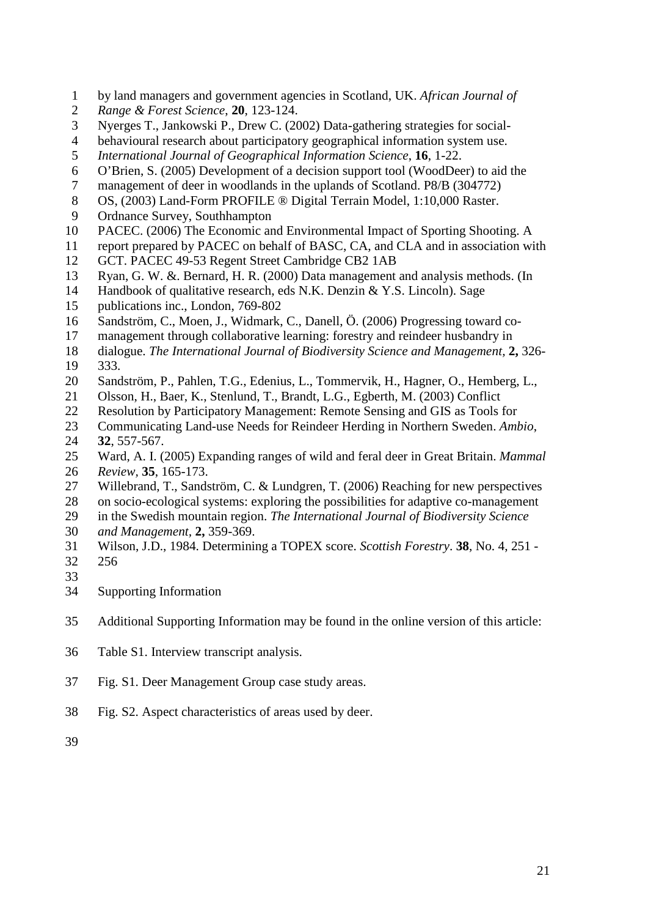- by land managers and government agencies in Scotland, UK. *African Journal of*
- *Range & Forest Science*, **20**, 123-124.
- Nyerges T., Jankowski P., Drew C. (2002) Data-gathering strategies for social-
- behavioural research about participatory geographical information system use.
- *[International Journal of Geographical Information Science](http://www.ingentaconnect.com/content/tandf/tgis)*, **16**, 1-22.
- O'Brien, S. (2005) Development of a decision support tool (WoodDeer) to aid the
- management of deer in woodlands in the uplands of Scotland. P8/B (304772)
- OS, (2003) Land-Form PROFILE ® Digital Terrain Model, 1:10,000 Raster.
- Ordnance Survey, Southhampton
- PACEC. (2006) The Economic and Environmental Impact of Sporting Shooting. A
- report prepared by PACEC on behalf of BASC, CA, and CLA and in association with
- GCT. PACEC 49-53 Regent Street Cambridge CB2 1AB
- Ryan, G. W. &. Bernard, H. R. (2000) Data management and analysis methods. (In
- Handbook of qualitative research, eds N.K. Denzin & Y.S. Lincoln). Sage
- publications inc., London, 769-802
- Sandström, C., Moen, J., Widmark, C., Danell, Ö. (2006) Progressing toward co-
- management through collaborative learning: forestry and reindeer husbandry in
- dialogue. *The International Journal of Biodiversity Science and Management,* **2,** 326-
- 333.
- Sandström, P., Pahlen, T.G., Edenius, L., Tommervik, H., Hagner, O., Hemberg, L.,
- Olsson, H., Baer, K., Stenlund, T., Brandt, L.G., Egberth, M. (2003) Conflict
- Resolution by Participatory Management: Remote Sensing and GIS as Tools for
- Communicating Land-use Needs for Reindeer Herding in Northern Sweden. *Ambio*, **32**, 557-567.
- Ward, A. I. (2005) Expanding ranges of wild and feral deer in Great Britain. *Mammal*
- *Review,* **35**, 165-173.
- Willebrand, T., Sandström, C. & Lundgren, T. (2006) Reaching for new perspectives
- on socio-ecological systems: exploring the possibilities for adaptive co-management
- in the Swedish mountain region. *The International Journal of Biodiversity Science and Management,* **2,** 359-369.
- 
- Wilson, J.D., 1984. Determining a TOPEX score. *Scottish Forestry*. **38**, No. 4, 251 256
- 
- Supporting Information
- Additional Supporting Information may be found in the online version of this article:
- Table S1. Interview transcript analysis.
- Fig. S1. Deer Management Group case study areas.
- Fig. S2. Aspect characteristics of areas used by deer.
-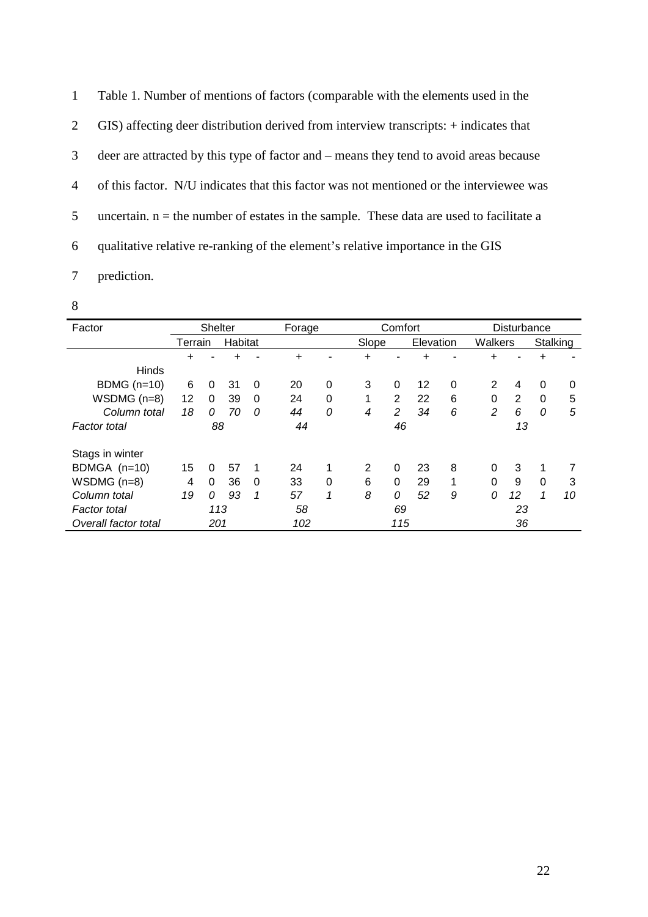Table 1. Number of mentions of factors (comparable with the elements used in the GIS) affecting deer distribution derived from interview transcripts: + indicates that deer are attracted by this type of factor and – means they tend to avoid areas because of this factor. N/U indicates that this factor was not mentioned or the interviewee was 5 uncertain.  $n =$  the number of estates in the sample. These data are used to facilitate a qualitative relative re-ranking of the element's relative importance in the GIS

- 7 prediction.
- 8

| Factor               | <b>Shelter</b> |          |         |          | Forage |          | Comfort      |                |           |              | Disturbance |    |          |    |
|----------------------|----------------|----------|---------|----------|--------|----------|--------------|----------------|-----------|--------------|-------------|----|----------|----|
|                      | Terrain        |          | Habitat |          |        |          | Slope        |                | Elevation |              | Walkers     |    | Stalking |    |
|                      | +              |          |         |          | +      |          | +            |                | +         |              | +           |    |          |    |
| <b>Hinds</b>         |                |          |         |          |        |          |              |                |           |              |             |    |          |    |
| BDMG $(n=10)$        | 6              | 0        | 31      | $\Omega$ | 20     | 0        | 3            | 0              | 12        | $\mathbf 0$  | 2           | 4  | $\Omega$ | 0  |
| $WSDMG (n=8)$        | 12             | 0        | 39      | $\Omega$ | 24     | $\Omega$ | $\mathbf{1}$ | $\overline{2}$ | 22        | 6            | $\Omega$    | 2  | $\Omega$ | 5  |
| Column total         | 18             | 0        | 70      | $\Omega$ | 44     | 0        | 4            | $\overline{2}$ | 34        | 6            | 2           | 6  | $\Omega$ | 5  |
| Factor total         | 88             |          | 44      |          |        | 46       |              | 13             |           |              |             |    |          |    |
|                      |                |          |         |          |        |          |              |                |           |              |             |    |          |    |
| Stags in winter      |                |          |         |          |        |          |              |                |           |              |             |    |          |    |
| BDMGA (n=10)         | 15             | 0        | 57      | -1       | 24     | 1        | 2            | $\Omega$       | 23        | 8            | $\Omega$    | 3  |          |    |
| $WSDMG (n=8)$        | 4              | $\Omega$ | 36      | $\Omega$ | 33     | 0        | 6            | $\Omega$       | 29        | $\mathbf{1}$ | $\Omega$    | 9  | $\Omega$ | 3  |
| Column total         | 19             | 0        | 93      | 1        | 57     | 1        | 8            | 0              | 52        | 9            | 0           | 12 | 1        | 10 |
| Factor total         | 113            |          | 58      |          |        | 69       |              |                | 23        |              |             |    |          |    |
| Overall factor total | 201            |          |         | 102      |        |          | 115          |                |           | 36           |             |    |          |    |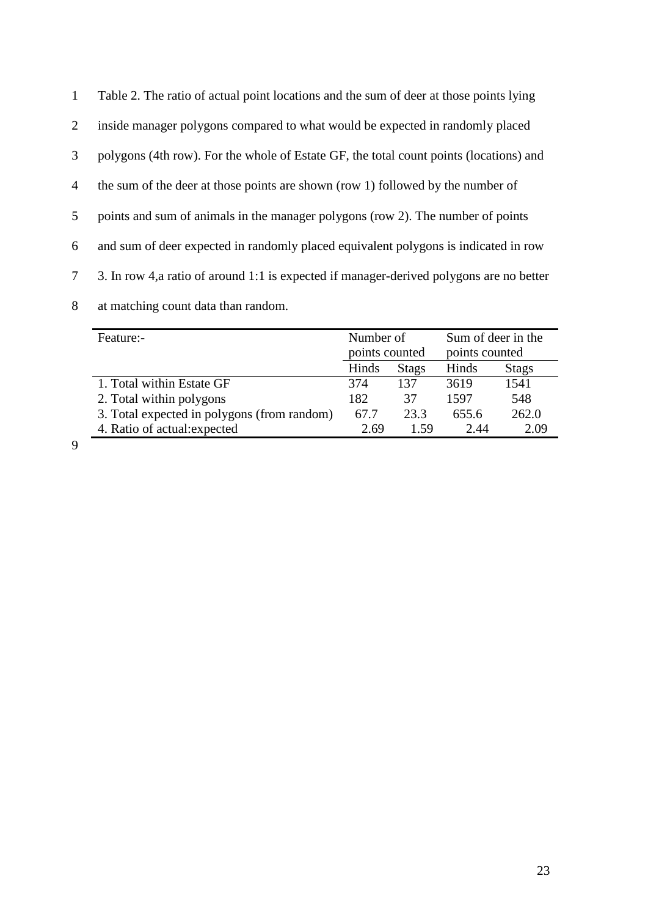| $\mathbf{1}$    | Table 2. The ratio of actual point locations and the sum of deer at those points lying   |
|-----------------|------------------------------------------------------------------------------------------|
| $\overline{2}$  | inside manager polygons compared to what would be expected in randomly placed            |
| 3               | polygons (4th row). For the whole of Estate GF, the total count points (locations) and   |
| $\overline{4}$  | the sum of the deer at those points are shown (row 1) followed by the number of          |
| 5               | points and sum of animals in the manager polygons (row 2). The number of points          |
| 6               | and sum of deer expected in randomly placed equivalent polygons is indicated in row      |
| $7\overline{ }$ | 3. In row 4, a ratio of around 1:1 is expected if manager-derived polygons are no better |
| 8               | at matching count data than random.                                                      |

| Feature:-                                   | Number of      |              | Sum of deer in the |              |  |  |
|---------------------------------------------|----------------|--------------|--------------------|--------------|--|--|
|                                             | points counted |              | points counted     |              |  |  |
|                                             | Hinds          | <b>Stags</b> | Hinds              | <b>Stags</b> |  |  |
| 1. Total within Estate GF                   | 374            | 137          | 3619               | 1541         |  |  |
| 2. Total within polygons                    | 182            | 37           | 1597               | 548          |  |  |
| 3. Total expected in polygons (from random) | 67.7           | 23.3         | 655.6              | 262.0        |  |  |
| 4. Ratio of actual: expected                | 2.69           | 1.59         | 2.44               | 2.09         |  |  |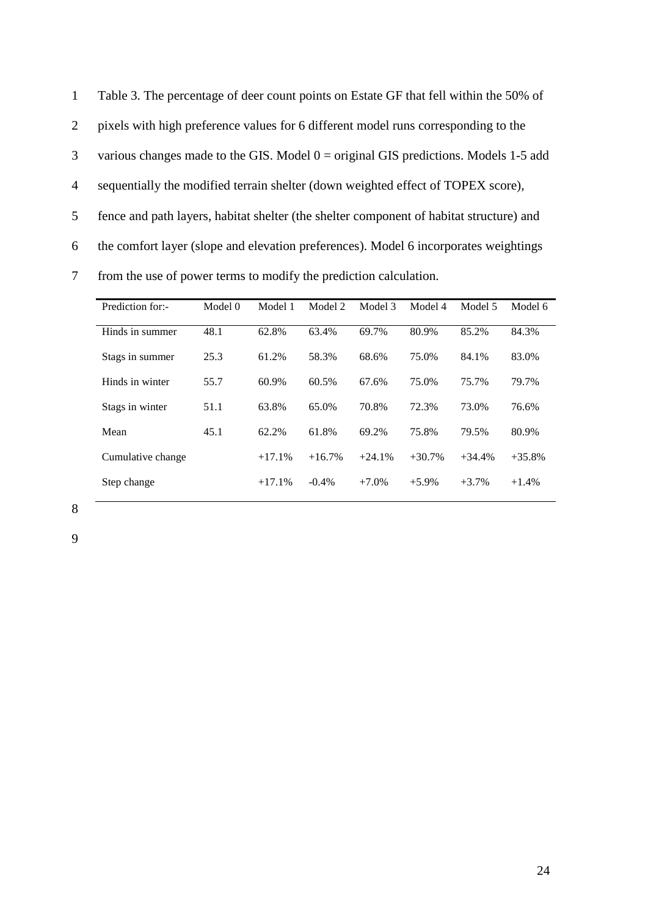Table 3. The percentage of deer count points on Estate GF that fell within the 50% of pixels with high preference values for 6 different model runs corresponding to the 3 various changes made to the GIS. Model  $0 =$  original GIS predictions. Models 1-5 add sequentially the modified terrain shelter (down weighted effect of TOPEX score), fence and path layers, habitat shelter (the shelter component of habitat structure) and the comfort layer (slope and elevation preferences). Model 6 incorporates weightings from the use of power terms to modify the prediction calculation.

| Prediction for:-  | Model 0 | Model 1  | Model 2  | Model 3  | Model 4  | Model 5  | Model 6  |
|-------------------|---------|----------|----------|----------|----------|----------|----------|
| Hinds in summer   | 48.1    | 62.8%    | 63.4%    | 69.7%    | 80.9%    | 85.2%    | 84.3%    |
| Stags in summer   | 25.3    | 61.2%    | 58.3%    | 68.6%    | 75.0%    | 84.1%    | 83.0%    |
| Hinds in winter   | 55.7    | 60.9%    | 60.5%    | 67.6%    | 75.0%    | 75.7%    | 79.7%    |
| Stags in winter   | 51.1    | 63.8%    | 65.0%    | 70.8%    | 72.3%    | 73.0%    | 76.6%    |
| Mean              | 45.1    | 62.2%    | 61.8%    | 69.2%    | 75.8%    | 79.5%    | 80.9%    |
| Cumulative change |         | $+17.1%$ | $+16.7%$ | $+24.1%$ | $+30.7%$ | $+34.4%$ | $+35.8%$ |
| Step change       |         | $+17.1%$ | $-0.4\%$ | $+7.0%$  | $+5.9\%$ | $+3.7%$  | $+1.4%$  |

8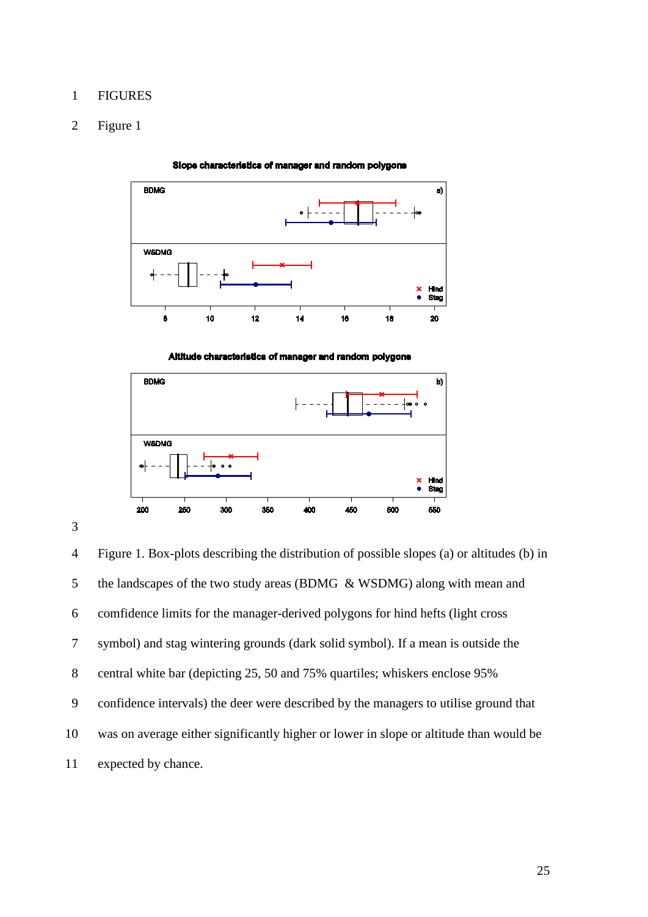### FIGURES

# Figure 1



Slope characteristics of manager and random polygons

Altitude characteristics of manager and random polygons



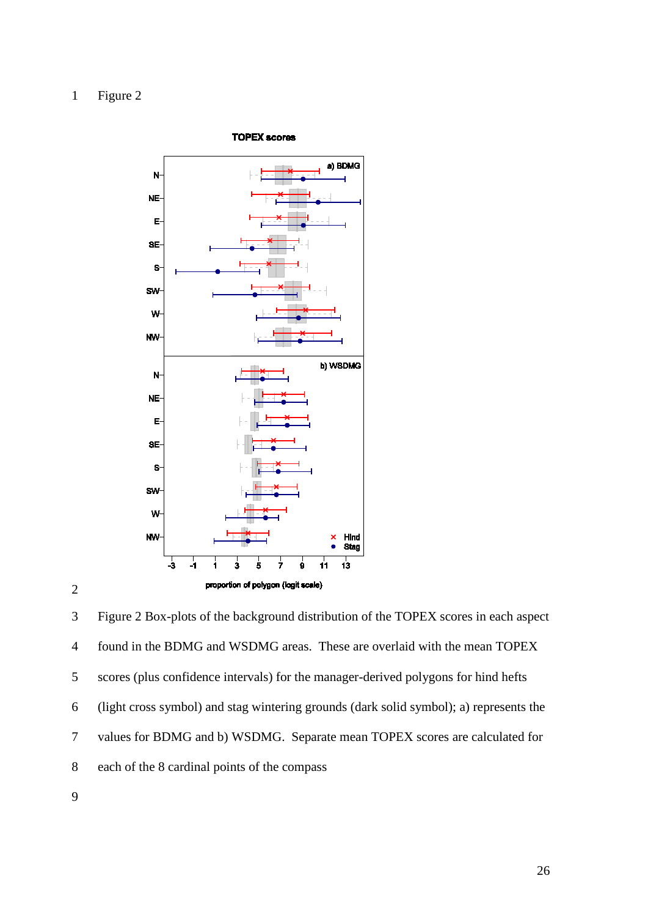





 Figure 2 Box-plots of the background distribution of the TOPEX scores in each aspect found in the BDMG and WSDMG areas. These are overlaid with the mean TOPEX scores (plus confidence intervals) for the manager-derived polygons for hind hefts (light cross symbol) and stag wintering grounds (dark solid symbol); a) represents the values for BDMG and b) WSDMG. Separate mean TOPEX scores are calculated for each of the 8 cardinal points of the compass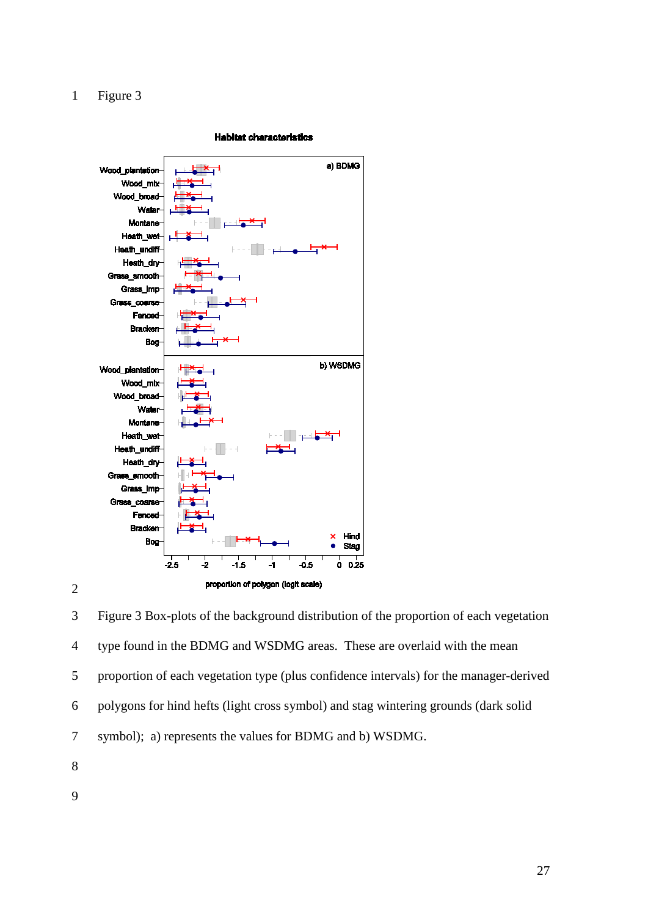

#### **Habitat characteristics**

 Figure 3 Box-plots of the background distribution of the proportion of each vegetation type found in the BDMG and WSDMG areas. These are overlaid with the mean proportion of each vegetation type (plus confidence intervals) for the manager-derived polygons for hind hefts (light cross symbol) and stag wintering grounds (dark solid symbol); a) represents the values for BDMG and b) WSDMG.

- 
-